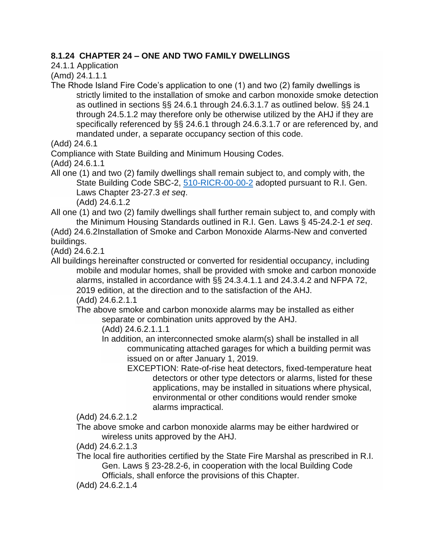## **8.1.24 CHAPTER 24 – ONE AND TWO FAMILY DWELLINGS**

24.1.1 Application

(Amd) 24.1.1.1

The Rhode Island Fire Code's application to one (1) and two (2) family dwellings is strictly limited to the installation of smoke and carbon monoxide smoke detection as outlined in sections §§ 24.6.1 through 24.6.3.1.7 as outlined below. §§ 24.1 through 24.5.1.2 may therefore only be otherwise utilized by the AHJ if they are specifically referenced by §§ 24.6.1 through 24.6.3.1.7 or are referenced by, and mandated under, a separate occupancy section of this code.

(Add) 24.6.1

Compliance with State Building and Minimum Housing Codes.

(Add) 24.6.1.1

All one (1) and two (2) family dwellings shall remain subject to, and comply with, the State Building Code SBC-2, [510-RICR-00-00-2](https://rules.sos.ri.gov/regulations/part/510-00-00-2) adopted pursuant to R.I. Gen. Laws Chapter 23-27.3 *et seq*.

(Add) 24.6.1.2

All one (1) and two (2) family dwellings shall further remain subject to, and comply with the Minimum Housing Standards outlined in R.I. Gen. Laws § 45-24.2-1 *et seq*.

(Add) 24.6.2Installation of Smoke and Carbon Monoxide Alarms-New and converted buildings.

(Add) 24.6.2.1

All buildings hereinafter constructed or converted for residential occupancy, including mobile and modular homes, shall be provided with smoke and carbon monoxide alarms, installed in accordance with §§ 24.3.4.1.1 and 24.3.4.2 and NFPA 72, 2019 edition, at the direction and to the satisfaction of the AHJ. (Add) 24.6.2.1.1

The above smoke and carbon monoxide alarms may be installed as either separate or combination units approved by the AHJ.

(Add) 24.6.2.1.1.1

In addition, an interconnected smoke alarm(s) shall be installed in all communicating attached garages for which a building permit was issued on or after January 1, 2019.

EXCEPTION: Rate-of-rise heat detectors, fixed-temperature heat detectors or other type detectors or alarms, listed for these applications, may be installed in situations where physical, environmental or other conditions would render smoke alarms impractical.

(Add) 24.6.2.1.2

The above smoke and carbon monoxide alarms may be either hardwired or wireless units approved by the AHJ.

(Add) 24.6.2.1.3

The local fire authorities certified by the State Fire Marshal as prescribed in R.I. Gen. Laws § 23-28.2-6, in cooperation with the local Building Code Officials, shall enforce the provisions of this Chapter.

(Add) 24.6.2.1.4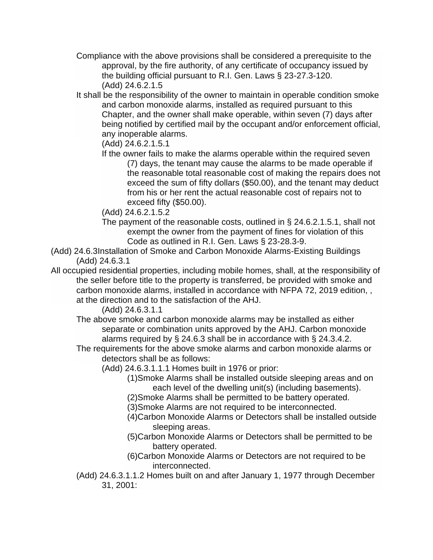- Compliance with the above provisions shall be considered a prerequisite to the approval, by the fire authority, of any certificate of occupancy issued by the building official pursuant to R.I. Gen. Laws § 23-27.3-120. (Add) 24.6.2.1.5
- It shall be the responsibility of the owner to maintain in operable condition smoke and carbon monoxide alarms, installed as required pursuant to this Chapter, and the owner shall make operable, within seven (7) days after being notified by certified mail by the occupant and/or enforcement official, any inoperable alarms.
	- (Add) 24.6.2.1.5.1
	- If the owner fails to make the alarms operable within the required seven (7) days, the tenant may cause the alarms to be made operable if the reasonable total reasonable cost of making the repairs does not exceed the sum of fifty dollars (\$50.00), and the tenant may deduct from his or her rent the actual reasonable cost of repairs not to exceed fifty (\$50.00).
	- (Add) 24.6.2.1.5.2
	- The payment of the reasonable costs, outlined in § 24.6.2.1.5.1, shall not exempt the owner from the payment of fines for violation of this Code as outlined in R.I. Gen. Laws § 23-28.3-9.
- (Add) 24.6.3Installation of Smoke and Carbon Monoxide Alarms-Existing Buildings (Add) 24.6.3.1
- All occupied residential properties, including mobile homes, shall, at the responsibility of the seller before title to the property is transferred, be provided with smoke and carbon monoxide alarms, installed in accordance with NFPA 72, 2019 edition, , at the direction and to the satisfaction of the AHJ.

(Add) 24.6.3.1.1

The above smoke and carbon monoxide alarms may be installed as either separate or combination units approved by the AHJ. Carbon monoxide alarms required by § 24.6.3 shall be in accordance with § 24.3.4.2.

- The requirements for the above smoke alarms and carbon monoxide alarms or detectors shall be as follows:
	- (Add) 24.6.3.1.1.1 Homes built in 1976 or prior:
		- (1)Smoke Alarms shall be installed outside sleeping areas and on each level of the dwelling unit(s) (including basements).
		- (2)Smoke Alarms shall be permitted to be battery operated.
		- (3)Smoke Alarms are not required to be interconnected.
		- (4)Carbon Monoxide Alarms or Detectors shall be installed outside sleeping areas.
		- (5)Carbon Monoxide Alarms or Detectors shall be permitted to be battery operated.
		- (6)Carbon Monoxide Alarms or Detectors are not required to be interconnected.
- (Add) 24.6.3.1.1.2 Homes built on and after January 1, 1977 through December 31, 2001: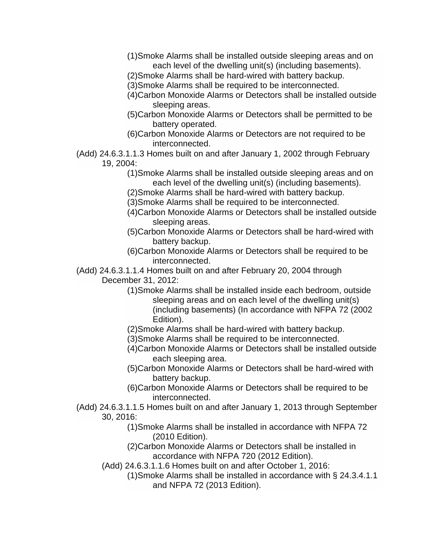- (1)Smoke Alarms shall be installed outside sleeping areas and on each level of the dwelling unit(s) (including basements).
- (2)Smoke Alarms shall be hard-wired with battery backup.
- (3)Smoke Alarms shall be required to be interconnected.
- (4)Carbon Monoxide Alarms or Detectors shall be installed outside sleeping areas.
- (5)Carbon Monoxide Alarms or Detectors shall be permitted to be battery operated.
- (6)Carbon Monoxide Alarms or Detectors are not required to be interconnected.
- (Add) 24.6.3.1.1.3 Homes built on and after January 1, 2002 through February 19, 2004:
	- (1)Smoke Alarms shall be installed outside sleeping areas and on each level of the dwelling unit(s) (including basements).
	- (2)Smoke Alarms shall be hard-wired with battery backup.
	- (3)Smoke Alarms shall be required to be interconnected.
	- (4)Carbon Monoxide Alarms or Detectors shall be installed outside sleeping areas.
	- (5)Carbon Monoxide Alarms or Detectors shall be hard-wired with battery backup.
	- (6)Carbon Monoxide Alarms or Detectors shall be required to be interconnected.
- (Add) 24.6.3.1.1.4 Homes built on and after February 20, 2004 through December 31, 2012:
	- (1)Smoke Alarms shall be installed inside each bedroom, outside sleeping areas and on each level of the dwelling unit(s) (including basements) (In accordance with NFPA 72 (2002 Edition).
	- (2)Smoke Alarms shall be hard-wired with battery backup.
	- (3)Smoke Alarms shall be required to be interconnected.
	- (4)Carbon Monoxide Alarms or Detectors shall be installed outside each sleeping area.
	- (5)Carbon Monoxide Alarms or Detectors shall be hard-wired with battery backup.
	- (6)Carbon Monoxide Alarms or Detectors shall be required to be interconnected.
- (Add) 24.6.3.1.1.5 Homes built on and after January 1, 2013 through September 30, 2016:
	- (1)Smoke Alarms shall be installed in accordance with NFPA 72 (2010 Edition).
	- (2)Carbon Monoxide Alarms or Detectors shall be installed in accordance with NFPA 720 (2012 Edition).
	- (Add) 24.6.3.1.1.6 Homes built on and after October 1, 2016:
		- (1)Smoke Alarms shall be installed in accordance with § 24.3.4.1.1 and NFPA 72 (2013 Edition).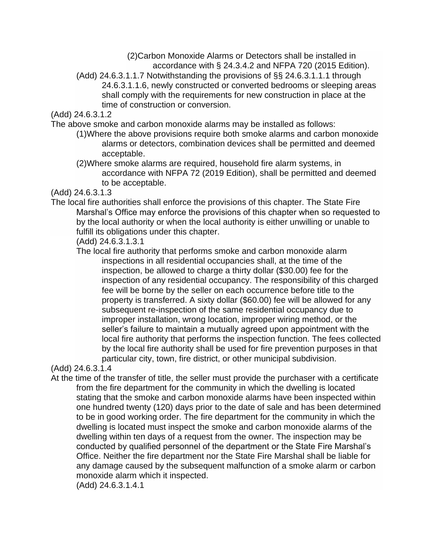(2)Carbon Monoxide Alarms or Detectors shall be installed in accordance with § 24.3.4.2 and NFPA 720 (2015 Edition).

(Add) 24.6.3.1.1.7 Notwithstanding the provisions of §§ 24.6.3.1.1.1 through 24.6.3.1.1.6, newly constructed or converted bedrooms or sleeping areas shall comply with the requirements for new construction in place at the time of construction or conversion.

(Add) 24.6.3.1.2

The above smoke and carbon monoxide alarms may be installed as follows:

(1)Where the above provisions require both smoke alarms and carbon monoxide alarms or detectors, combination devices shall be permitted and deemed acceptable.

(2)Where smoke alarms are required, household fire alarm systems, in accordance with NFPA 72 (2019 Edition), shall be permitted and deemed to be acceptable.

## (Add) 24.6.3.1.3

- The local fire authorities shall enforce the provisions of this chapter. The State Fire Marshal's Office may enforce the provisions of this chapter when so requested to by the local authority or when the local authority is either unwilling or unable to fulfill its obligations under this chapter.
	- (Add) 24.6.3.1.3.1

The local fire authority that performs smoke and carbon monoxide alarm inspections in all residential occupancies shall, at the time of the inspection, be allowed to charge a thirty dollar (\$30.00) fee for the inspection of any residential occupancy. The responsibility of this charged fee will be borne by the seller on each occurrence before title to the property is transferred. A sixty dollar (\$60.00) fee will be allowed for any subsequent re-inspection of the same residential occupancy due to improper installation, wrong location, improper wiring method, or the seller's failure to maintain a mutually agreed upon appointment with the local fire authority that performs the inspection function. The fees collected by the local fire authority shall be used for fire prevention purposes in that particular city, town, fire district, or other municipal subdivision.

(Add) 24.6.3.1.4

At the time of the transfer of title, the seller must provide the purchaser with a certificate from the fire department for the community in which the dwelling is located stating that the smoke and carbon monoxide alarms have been inspected within one hundred twenty (120) days prior to the date of sale and has been determined to be in good working order. The fire department for the community in which the dwelling is located must inspect the smoke and carbon monoxide alarms of the dwelling within ten days of a request from the owner. The inspection may be conducted by qualified personnel of the department or the State Fire Marshal's Office. Neither the fire department nor the State Fire Marshal shall be liable for any damage caused by the subsequent malfunction of a smoke alarm or carbon monoxide alarm which it inspected.

(Add) 24.6.3.1.4.1